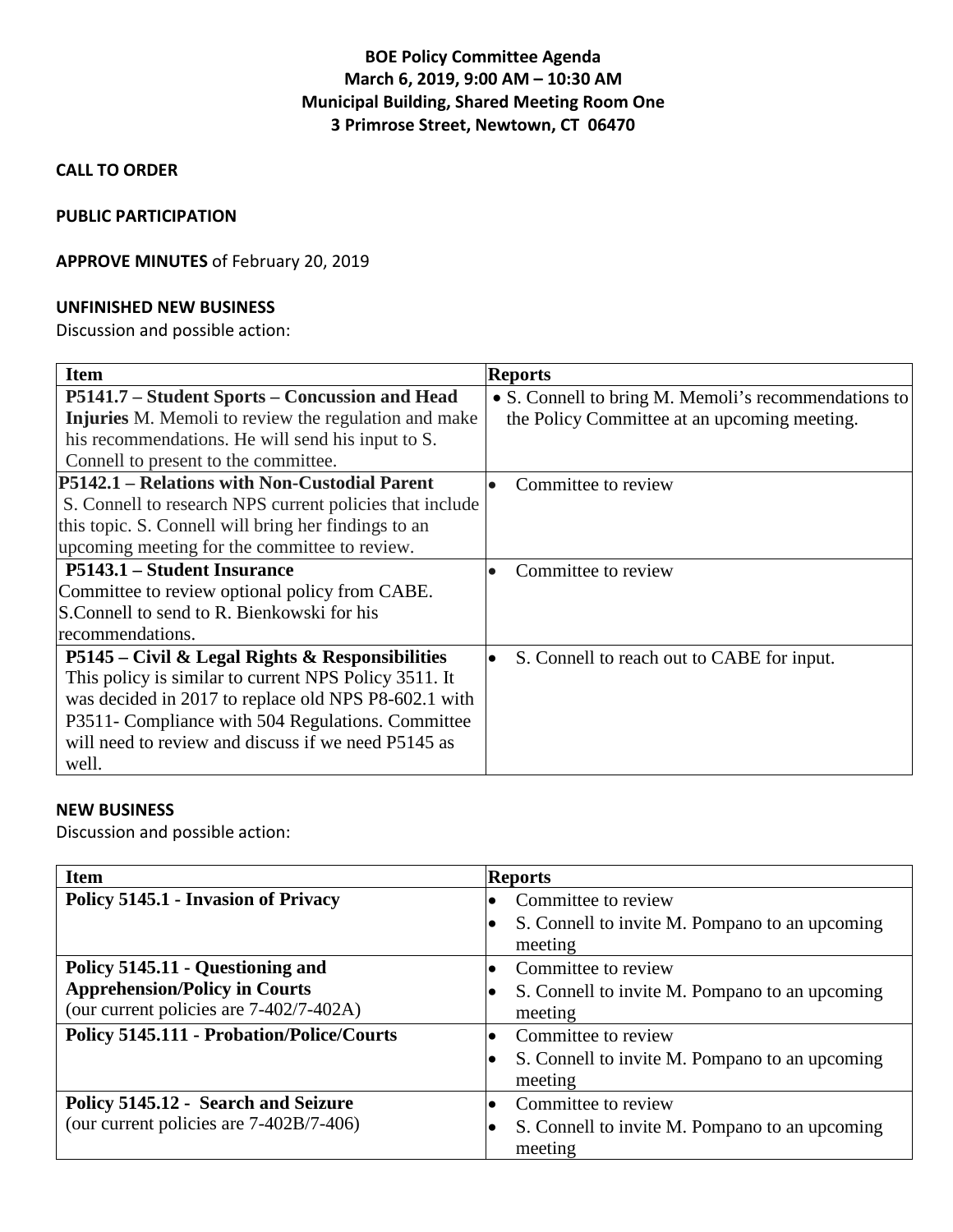# **BOE Policy Committee Agenda March 6, 2019, 9:00 AM – 10:30 AM Municipal Building, Shared Meeting Room One 3 Primrose Street, Newtown, CT 06470**

**CALL TO ORDER**

### **PUBLIC PARTICIPATION**

## **APPROVE MINUTES** of February 20, 2019

#### **UNFINISHED NEW BUSINESS**

Discussion and possible action:

| <b>Item</b>                                                                                                                                                                                                                                                                           | <b>Reports</b>                                                                                       |
|---------------------------------------------------------------------------------------------------------------------------------------------------------------------------------------------------------------------------------------------------------------------------------------|------------------------------------------------------------------------------------------------------|
| P5141.7 – Student Sports – Concussion and Head<br><b>Injuries</b> M. Memoli to review the regulation and make<br>his recommendations. He will send his input to S.<br>Connell to present to the committee.                                                                            | • S. Connell to bring M. Memoli's recommendations to<br>the Policy Committee at an upcoming meeting. |
| P5142.1 – Relations with Non-Custodial Parent<br>S. Connell to research NPS current policies that include<br>this topic. S. Connell will bring her findings to an<br>upcoming meeting for the committee to review.                                                                    | Committee to review                                                                                  |
| P5143.1 – Student Insurance<br>Committee to review optional policy from CABE.<br>S. Connell to send to R. Bienkowski for his<br>recommendations.                                                                                                                                      | Committee to review                                                                                  |
| P5145 – Civil & Legal Rights & Responsibilities<br>This policy is similar to current NPS Policy 3511. It<br>was decided in 2017 to replace old NPS P8-602.1 with<br>P3511- Compliance with 504 Regulations. Committee<br>will need to review and discuss if we need P5145 as<br>well. | S. Connell to reach out to CABE for input.                                                           |

#### **NEW BUSINESS**

Discussion and possible action:

| <b>Item</b>                                      | <b>Reports</b>                                                         |
|--------------------------------------------------|------------------------------------------------------------------------|
| Policy 5145.1 - Invasion of Privacy              | Committee to review                                                    |
|                                                  | S. Connell to invite M. Pompano to an upcoming<br>$\bullet$<br>meeting |
| Policy 5145.11 - Questioning and                 | Committee to review<br>$\bullet$                                       |
| <b>Apprehension/Policy in Courts</b>             | S. Connell to invite M. Pompano to an upcoming                         |
| (our current policies are 7-402/7-402A)          | meeting                                                                |
| <b>Policy 5145.111 - Probation/Police/Courts</b> | Committee to review<br>$\bullet$                                       |
|                                                  | S. Connell to invite M. Pompano to an upcoming                         |
|                                                  | meeting                                                                |
| Policy 5145.12 - Search and Seizure              | Committee to review<br>$\bullet$                                       |
| (our current policies are $7-402B/7-406$ )       | S. Connell to invite M. Pompano to an upcoming                         |
|                                                  | meeting                                                                |